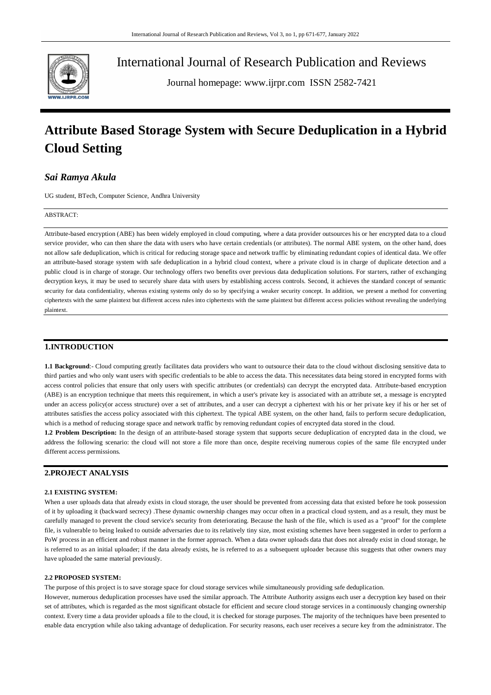

International Journal of Research Publication and Reviews

Journal homepage: www.ijrpr.com ISSN 2582-7421

# **Attribute Based Storage System with Secure Deduplication in a Hybrid Cloud Setting**

# *Sai Ramya Akula*

UG student, BTech, Computer Science, Andhra University

#### ABSTRACT:

Attribute-based encryption (ABE) has been widely employed in cloud computing, where a data provider outsources his or her encrypted data to a cloud service provider, who can then share the data with users who have certain credentials (or attributes). The normal ABE system, on the other hand, does not allow safe deduplication, which is critical for reducing storage space and network traffic by eliminating redundant copies of identical data. We offer an attribute-based storage system with safe deduplication in a hybrid cloud context, where a private cloud is in charge of duplicate detection and a public cloud is in charge of storage. Our technology offers two benefits over previous data deduplication solutions. For starters, rather of exchanging decryption keys, it may be used to securely share data with users by establishing access controls. Second, it achieves the standard concept of semantic security for data confidentiality, whereas existing systems only do so by specifying a weaker security concept. In addition, we present a method for converting ciphertexts with the same plaintext but different access rules into ciphertexts with the same plaintext but different access policies without revealing the underlying plaintext.

## **1.INTRODUCTION**

**1.1 Background**:- Cloud computing greatly facilitates data providers who want to outsource their data to the cloud without disclosing sensitive data to third parties and who only want users with specific credentials to be able to access the data. This necessitates data being stored in encrypted forms with access control policies that ensure that only users with specific attributes (or credentials) can decrypt the encrypted data. Attribute-based encryption (ABE) is an encryption technique that meets this requirement, in which a user's private key is associated with an attribute set, a message is encrypted under an access policy(or access structure) over a set of attributes, and a user can decrypt a ciphertext with his or her private key if his or her set of attributes satisfies the access policy associated with this ciphertext. The typical ABE system, on the other hand, fails to perform secure deduplication, which is a method of reducing storage space and network traffic by removing redundant copies of encrypted data stored in the cloud.

**1.2 Problem Description:** In the design of an attribute-based storage system that supports secure deduplication of encrypted data in the cloud, we address the following scenario: the cloud will not store a file more than once, despite receiving numerous copies of the same file encrypted under different access permissions.

## **2.PROJECT ANALYSIS**

#### **2.1 EXISTING SYSTEM:**

When a user uploads data that already exists in cloud storage, the user should be prevented from accessing data that existed before he took possession of it by uploading it (backward secrecy) .These dynamic ownership changes may occur often in a practical cloud system, and as a result, they must be carefully managed to prevent the cloud service's security from deteriorating. Because the hash of the file, which is used as a "proof" for the complete file, is vulnerable to being leaked to outside adversaries due to its relatively tiny size, most existing schemes have been suggested in order to perform a PoW process in an efficient and robust manner in the former approach. When a data owner uploads data that does not already exist in cloud storage, he is referred to as an initial uploader; if the data already exists, he is referred to as a subsequent uploader because this suggests that other owners may have uploaded the same material previously.

#### **2.2 PROPOSED SYSTEM:**

The purpose of this project is to save storage space for cloud storage services while simultaneously providing safe deduplica tion.

However, numerous deduplication processes have used the similar approach. The Attribute Authority assigns each user a decryption key based on their set of attributes, which is regarded as the most significant obstacle for efficient and secure cloud storage services in a continuously changing ownership context. Every time a data provider uploads a file to the cloud, it is checked for storage purposes. The majority of the techniques have been presented to enable data encryption while also taking advantage of deduplication. For security reasons, each user receives a secure key from the administrator. The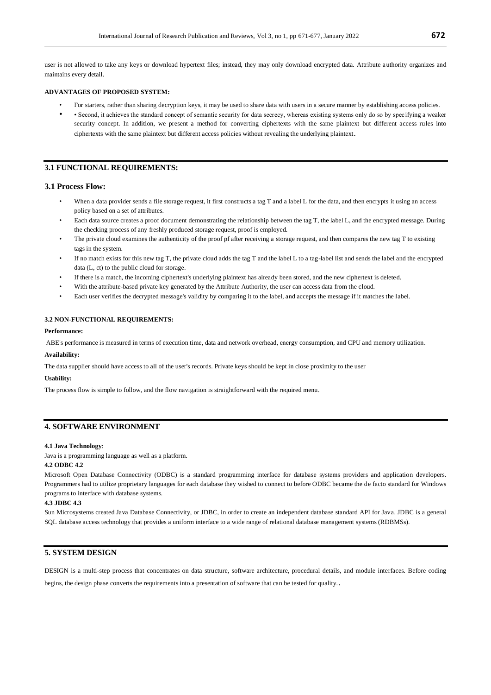user is not allowed to take any keys or download hypertext files; instead, they may only download encrypted data. Attribute authority organizes and maintains every detail.

#### **ADVANTAGES OF PROPOSED SYSTEM:**

- For starters, rather than sharing decryption keys, it may be used to share data with users in a secure manner by establishing access policies.
- • Second, it achieves the standard concept of semantic security for data secrecy, whereas existing systems only do so by specifying a weaker security concept. In addition, we present a method for converting ciphertexts with the same plaintext but different access rules into ciphertexts with the same plaintext but different access policies without revealing the underlying plaintext.

## **3.1 FUNCTIONAL REQUIREMENTS:**

#### **3.1 Process Flow:**

- When a data provider sends a file storage request, it first constructs a tag T and a label L for the data, and then encrypts it using an access policy based on a set of attributes.
- Each data source creates a proof document demonstrating the relationship between the tag T, the label L, and the encrypted message. During the checking process of any freshly produced storage request, proof is employed.
- The private cloud examines the authenticity of the proof pf after receiving a storage request, and then compares the new tag T to existing tags in the system.
- If no match exists for this new tag T, the private cloud adds the tag T and the label L to a tag-label list and sends the label and the encrypted data (L, ct) to the public cloud for storage.
- If there is a match, the incoming ciphertext's underlying plaintext has already been stored, and the new ciphertext is deleted.
- With the attribute-based private key generated by the Attribute Authority, the user can access data from the cloud.
- Each user verifies the decrypted message's validity by comparing it to the label, and accepts the message if it matches the label.

## **3.2 NON-FUNCTIONAL REQUIREMENTS:**

## **Performance:**

ABE's performance is measured in terms of execution time, data and network overhead, energy consumption, and CPU and memory utilization.

#### **Availability:**

The data supplier should have access to all of the user's records. Private keys should be kept in close proximity to the user

#### **Usability:**

The process flow is simple to follow, and the flow navigation is straightforward with the required menu.

## **4. SOFTWARE ENVIRONMENT**

#### **4.1 Java Technology**:

Java is a programming language as well as a platform.

## **4.2 ODBC 4.2**

Microsoft Open Database Connectivity (ODBC) is a standard programming interface for database systems providers and application developers. Programmers had to utilize proprietary languages for each database they wished to connect to before ODBC became the de facto standard for Windows programs to interface with database systems.

### **4.3 JDBC 4.3**

Sun Microsystems created Java Database Connectivity, or JDBC, in order to create an independent database standard API for Java. JDBC is a general SQL database access technology that provides a uniform interface to a wide range of relational database management systems (RDBMSs).

## **5. SYSTEM DESIGN**

DESIGN is a multi-step process that concentrates on data structure, software architecture, procedural details, and module interfaces. Before coding

begins, the design phase converts the requirements into a presentation of software that can be tested for quality..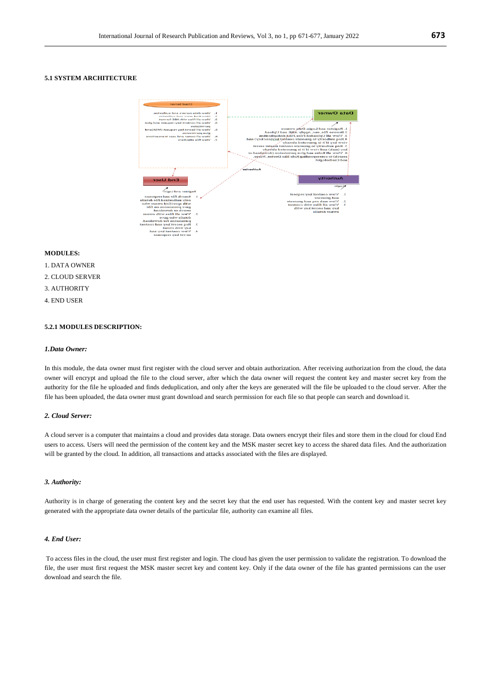## **5.1 SYSTEM ARCHITECTURE**



## **MODULES:**

- 1. DATA OWNER
- 2. CLOUD SERVER
- 3. AUTHORITY
- 4. END USER

## **5.2.1 MODULES DESCRIPTION:**

#### *1.Data Owner:*

In this module, the data owner must first register with the cloud server and obtain authorization. After receiving authorization from the cloud, the data owner will encrypt and upload the file to the cloud server, after which the data owner will request the content key and master secret key from the authority for the file he uploaded and finds deduplication, and only after the keys are generated will the file be uploaded to the cloud server. After the file has been uploaded, the data owner must grant download and search permission for each file so that people can search and download it.

## *2. Cloud Server:*

A cloud server is a computer that maintains a cloud and provides data storage. Data owners encrypt their files and store them in the cloud for cloud End users to access. Users will need the permission of the content key and the MSK master secret key to access the shared data files. And the authorization will be granted by the cloud. In addition, all transactions and attacks associated with the files are displayed.

## *3. Authority:*

Authority is in charge of generating the content key and the secret key that the end user has requested. With the content key and master secret key generated with the appropriate data owner details of the particular file, authority can examine all files.

## *4. End User:*

To access files in the cloud, the user must first register and login. The cloud has given the user permission to validate the registration. To download the file, the user must first request the MSK master secret key and content key. Only if the data owner of the file has granted permissions can the user download and search the file.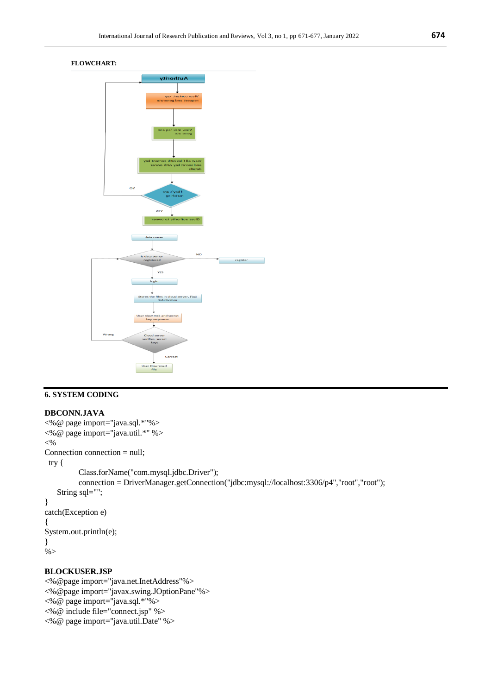# **FLOWCHART:**



# **6. SYSTEM CODING**

## **DBCONN.JAVA**

```
<%@ page import="java.sql.*"%>
<%@ page import="java.util.*" %>
<\!\%Connection connection = null;
  try { 
           Class.forName("com.mysql.jdbc.Driver");
           connection = DriverManager.getConnection("jdbc:mysql://localhost:3306/p4","root","root");
    String sql="";
}
catch(Exception e)
{
System.out.println(e);
}
% >
```
## **BLOCKUSER.JSP**

<%@page import="java.net.InetAddress"%> <%@page import="javax.swing.JOptionPane"%> <%@ page import="java.sql.\*"%> <%@ include file="connect.jsp" %> <%@ page import="java.util.Date" %>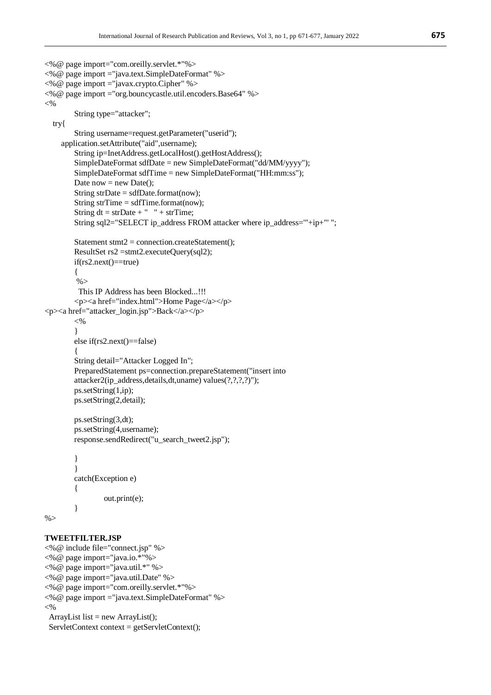```
<%@ page import="com.oreilly.servlet.*"%>
<%@ page import ="java.text.SimpleDateFormat" %>
<%@ page import ="javax.crypto.Cipher" %>
<%@ page import ="org.bouncycastle.util.encoders.Base64" %>
<\!\%String type="attacker";
   try{
        String username=request.getParameter("userid");
     application.setAttribute("aid",username);
        String ip=InetAddress.getLocalHost().getHostAddress();
        SimpleDateFormat sdfDate = new SimpleDateFormat("dd/MM/yyyy");
        SimpleDateFormat sdfTime = new SimpleDateFormat("HH:mm:ss");
        Date now = new Date();
        String strDate = sdfDate.format(now);
        String strTime = sdfTime.format(now);
        String dt = strDate + " " + strTime;String sql2="SELECT ip_address FROM attacker where ip_address='"+ip+"' ";
        Statement stmt2 = connection.createStatement();
        ResultSet rs2 =stmt2.executeQuery(sql2);
        if(rs2.next() == true){
         % This IP Address has been Blocked...!!!
        <p><a href="index.html">Home Page</a></p>
<p><a href="attacker_login.jsp">Back</a></p>
        <\!\%}
        else if(rs2.next()==false)
        {
        String detail="Attacker Logged In";
        PreparedStatement ps=connection.prepareStatement("insert into 
        attacker2(ip_address,details,dt,uname) values(?,?,?,?)");
        ps.setString(1,ip);
        ps.setString(2,detail);
        ps.setString(3,dt);
        ps.setString(4,username);
        response.sendRedirect("u_search_tweet2.jsp");
        }
        }
        catch(Exception e)
        {
                 out.print(e);
        }
% >
```
# **TWEETFILTER.JSP**

<%@ include file="connect.jsp" %> <%@ page import="java.io.\*"%> <%@ page import="java.util.\*" %> <%@ page import="java.util.Date" %> <%@ page import="com.oreilly.servlet.\*"%> <%@ page import ="java.text.SimpleDateFormat" %>  $<\!\%$  ArrayList list = new ArrayList(); ServletContext context = getServletContext();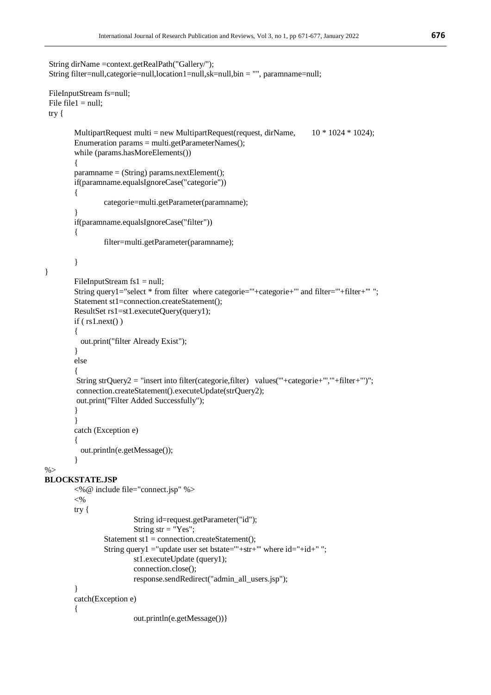```
 String dirName =context.getRealPath("Gallery/");
  String filter=null,categorie=null,location1=null,sk=null,bin = "", paramname=null;
  FileInputStream fs=null;
 File file1 = null; try {
        MultipartRequest multi = new MultipartRequest(request, dirName, 10 * 1024 * 1024);
        Enumeration params = multi.getParameterNames();
        while (params.hasMoreElements())
         {
        paramname = (String) params.nextElement();
        if(paramname.equalsIgnoreCase("categorie"))
         {
                 categorie=multi.getParameter(paramname);
         }
        if(paramname.equalsIgnoreCase("filter"))
         {
                 filter=multi.getParameter(paramname);
        }
        FileInputStream fs1 = null;String query1="select * from filter where categorie='"+categorie+"' and filter='"+filter+"' ";
        Statement st1=connection.createStatement();
        ResultSet rs1=st1.executeQuery(query1);
        if ( rs1.next() ){
           out.print("filter Already Exist");
         }
        else
         {
         String strQuery2 = "insert into filter(categorie,filter) values('"+categorie+"','"+filter+"')";
         connection.createStatement().executeUpdate(strQuery2);
         out.print("Filter Added Successfully");
        }
         }
        catch (Exception e) 
         {
           out.println(e.getMessage());
         }
\%BLOCKSTATE.JSP
        <%@ include file="connect.jsp" %>
        <\!\%try { 
                          String id=request.getParameter("id");
                          String str = "Yes";Statement st1 = connection.createStatement();
                 String query1 = "update user set bstate=""+str+"' where id = "+id + "";
                          st1.executeUpdate (query1);
                          connection.close();
                          response.sendRedirect("admin_all_users.jsp");
         }
        catch(Exception e)
         {
                          out.println(e.getMessage())}
```
}